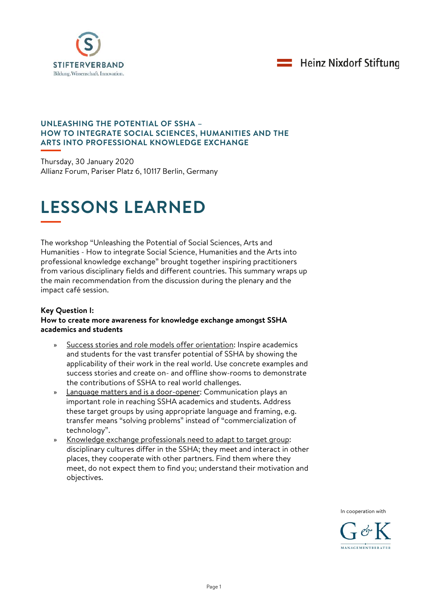



### **UNLEASHING THE POTENTIAL OF SSHA – HOW TO INTEGRATE SOCIAL SCIENCES, HUMANITIES AND THE ARTS INTO PROFESSIONAL KNOWLEDGE EXCHANGE**

Thursday, 30 January 2020 Allianz Forum, Pariser Platz 6, 10117 Berlin, Germany

# **LESSONS LEARNED**

The workshop "Unleashing the Potential of Social Sciences, Arts and Humanities - How to integrate Social Science, Humanities and the Arts into professional knowledge exchange" brought together inspiring practitioners from various disciplinary fields and different countries. This summary wraps up the main recommendation from the discussion during the plenary and the impact café session.

## **Key Question I:**

## **How to create more awareness for knowledge exchange amongst SSHA academics and students**

- Success stories and role models offer orientation: Inspire academics and students for the vast transfer potential of SSHA by showing the applicability of their work in the real world. Use concrete examples and success stories and create on- and offline show-rooms to demonstrate the contributions of SSHA to real world challenges.
- » Language matters and is a door-opener: Communication plays an important role in reaching SSHA academics and students. Address these target groups by using appropriate language and framing, e.g. transfer means "solving problems" instead of "commercialization of technology".
- » Knowledge exchange professionals need to adapt to target group: disciplinary cultures differ in the SSHA; they meet and interact in other places, they cooperate with other partners. Find them where they meet, do not expect them to find you; understand their motivation and objectives.

[In cooperation w](https://www.linguee.de/englisch-deutsch/uebersetzung/supported+by.html)ith